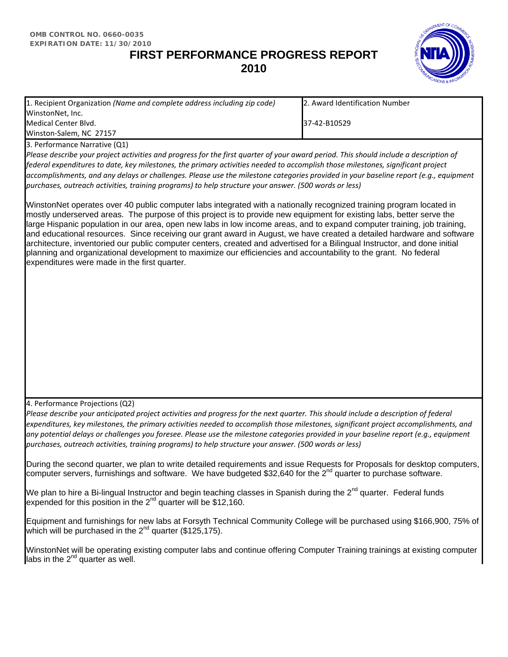## **FIRST PERFORMANCE PROGRESS REPORT 2010**



| 1. Recipient Organization (Name and complete address including zip code)                                                                                                                                                                                                                                                                                                                                         | 2. Award Identification Number |  |                                                                                                       |  |
|------------------------------------------------------------------------------------------------------------------------------------------------------------------------------------------------------------------------------------------------------------------------------------------------------------------------------------------------------------------------------------------------------------------|--------------------------------|--|-------------------------------------------------------------------------------------------------------|--|
| WinstonNet, Inc.                                                                                                                                                                                                                                                                                                                                                                                                 |                                |  |                                                                                                       |  |
| Medical Center Blvd.                                                                                                                                                                                                                                                                                                                                                                                             | 37-42-B10529                   |  |                                                                                                       |  |
| Winston-Salem, NC 27157                                                                                                                                                                                                                                                                                                                                                                                          |                                |  |                                                                                                       |  |
| 3. Performance Narrative (Q1)                                                                                                                                                                                                                                                                                                                                                                                    |                                |  |                                                                                                       |  |
| Please describe your project activities and progress for the first quarter of your award period. This should include a description of<br>federal expenditures to date, key milestones, the primary activities needed to accomplish those milestones, significant project<br>accomplishments, and any delays or challenges. Please use the milestone categories provided in your baseline report (e.g., equipment |                                |  |                                                                                                       |  |
|                                                                                                                                                                                                                                                                                                                                                                                                                  |                                |  | purchases, outreach activities, training programs) to help structure your answer. (500 words or less) |  |
|                                                                                                                                                                                                                                                                                                                                                                                                                  |                                |  |                                                                                                       |  |

WinstonNet operates over 40 public computer labs integrated with a nationally recognized training program located in mostly underserved areas. The purpose of this project is to provide new equipment for existing labs, better serve the large Hispanic population in our area, open new labs in low income areas, and to expand computer training, job training, and educational resources. Since receiving our grant award in August, we have created a detailed hardware and software architecture, inventoried our public computer centers, created and advertised for a Bilingual Instructor, and done initial planning and organizational development to maximize our efficiencies and accountability to the grant. No federal expenditures were made in the first quarter.

4. Performance Projections (Q2)

*Please describe your anticipated project activities and progress for the next quarter. This should include a description of federal expenditures, key milestones, the primary activities needed to accomplish those milestones, significant project accomplishments, and any potential delays or challenges you foresee. Please use the milestone categories provided in your baseline report (e.g., equipment purchases, outreach activities, training programs) to help structure your answer. (500 words or less)* 

During the second quarter, we plan to write detailed requirements and issue Requests for Proposals for desktop computers, computer servers, furnishings and software. We have budgeted \$32,640 for the 2<sup>nd</sup> quarter to purchase software.

We plan to hire a Bi-lingual Instructor and begin teaching classes in Spanish during the 2<sup>nd</sup> quarter. Federal funds expended for this position in the  $2^{nd}$  quarter will be \$12,160.

Equipment and furnishings for new labs at Forsyth Technical Community College will be purchased using \$166,900, 75% of which will be purchased in the  $2^{nd}$  quarter (\$125,175).

WinstonNet will be operating existing computer labs and continue offering Computer Training trainings at existing computer labs in the  $2^{nd}$  quarter as well.